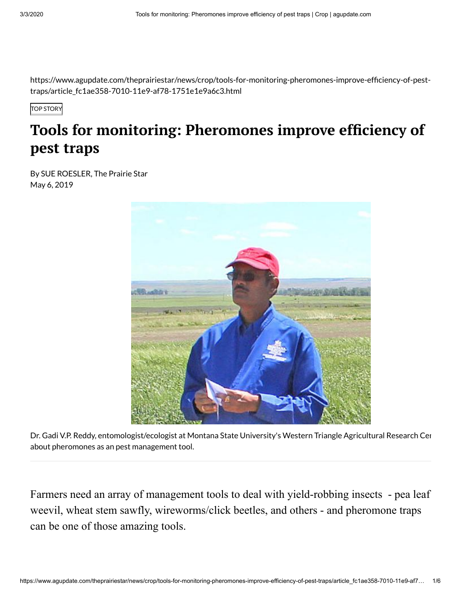https://www.agupdate.com/theprairiestar/news/crop/tools-for-monitoring-pheromones-improve-efficiency-of-pesttraps/article\_fc1ae358-7010-11e9-af78-1751e1e9a6c3.html

TOP STORY

## *Tools* **for monitoring: Pheromones improve efficiency of pest traps**

By SUE ROESLER, The Prairie Star May 6, 2019



Dr. Gadi V.P. Reddy, entomologist/ecologist at Montana State University's Western Triangle Agricultural Research Cen about pheromones as an pest management tool.

Farmers need an array of management tools to deal with yield-robbing insects - pea leaf weevil, wheat stem sawfly, wireworms/click beetles, and others - and pheromone traps can be one of those amazing tools.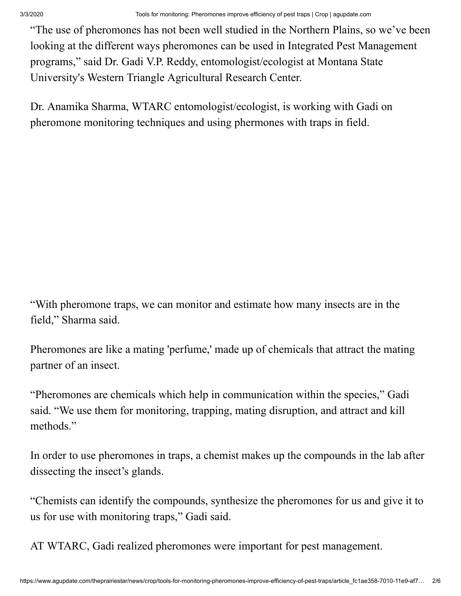"The use of pheromones has not been well studied in the Northern Plains, so we've been looking at the different ways pheromones can be used in Integrated Pest Management programs," said Dr. Gadi V.P. Reddy, entomologist/ecologist at Montana State University's Western Triangle Agricultural Research Center.

Dr. Anamika Sharma, WTARC entomologist/ecologist, is working with Gadi on pheromone monitoring techniques and using phermones with traps in field.

"With pheromone traps, we can monitor and estimate how many insects are in the field," Sharma said.

Pheromones are like a mating 'perfume,' made up of chemicals that attract the mating partner of an insect.

"Pheromones are chemicals which help in communication within the species," Gadi said. "We use them for monitoring, trapping, mating disruption, and attract and kill methods."

In order to use pheromones in traps, a chemist makes up the compounds in the lab after dissecting the insect's glands.

"Chemists can identify the compounds, synthesize the pheromones for us and give it to us for use with monitoring traps," Gadi said.

AT WTARC, Gadi realized pheromones were important for pest management.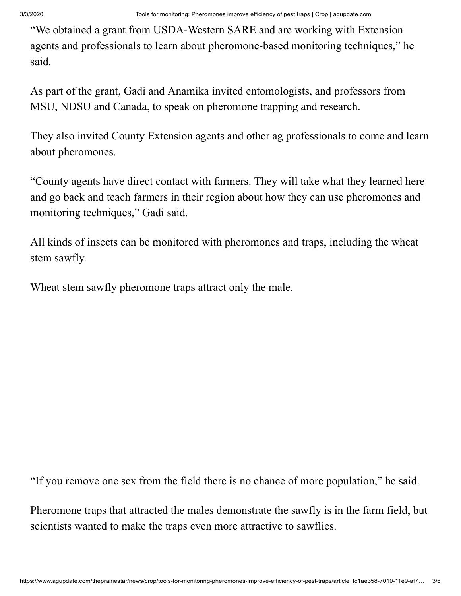"We obtained a grant from USDA-Western SARE and are working with Extension agents and professionals to learn about pheromone-based monitoring techniques," he said.

As part of the grant, Gadi and Anamika invited entomologists, and professors from MSU, NDSU and Canada, to speak on pheromone trapping and research.

They also invited County Extension agents and other ag professionals to come and learn about pheromones.

"County agents have direct contact with farmers. They will take what they learned here and go back and teach farmers in their region about how they can use pheromones and monitoring techniques," Gadi said.

All kinds of insects can be monitored with pheromones and traps, including the wheat stem sawfly.

Wheat stem sawfly pheromone traps attract only the male.

"If you remove one sex from the field there is no chance of more population," he said.

Pheromone traps that attracted the males demonstrate the sawfly is in the farm field, but scientists wanted to make the traps even more attractive to sawflies.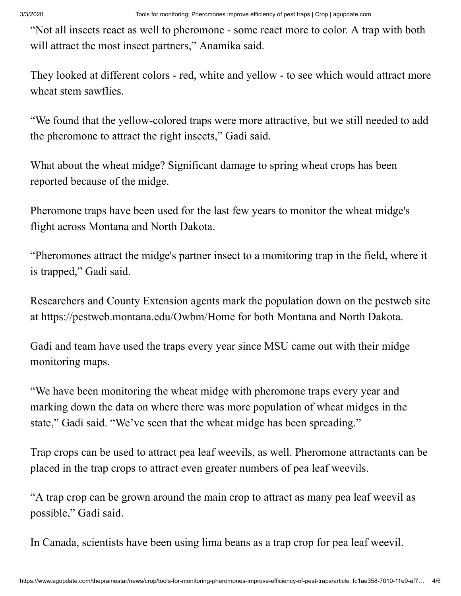"Not all insects react as well to pheromone - some react more to color. A trap with both will attract the most insect partners," Anamika said.

They looked at different colors - red, white and yellow - to see which would attract more wheat stem sawflies.

"We found that the yellow-colored traps were more attractive, but we still needed to add the pheromone to attract the right insects," Gadi said.

What about the wheat midge? Significant damage to spring wheat crops has been reported because of the midge.

Pheromone traps have been used for the last few years to monitor the wheat midge's flight across Montana and North Dakota.

"Pheromones attract the midge's partner insect to a monitoring trap in the field, where it is trapped," Gadi said.

Researchers and County Extension agents mark the population down on the pestweb site at<https://pestweb.montana.edu/Owbm/Home> for both Montana and North Dakota.

Gadi and team have used the traps every year since MSU came out with their midge monitoring maps.

"We have been monitoring the wheat midge with pheromone traps every year and marking down the data on where there was more population of wheat midges in the state," Gadi said. "We've seen that the wheat midge has been spreading."

Trap crops can be used to attract pea leaf weevils, as well. Pheromone attractants can be placed in the trap crops to attract even greater numbers of pea leaf weevils.

"A trap crop can be grown around the main crop to attract as many pea leaf weevil as possible," Gadi said.

In Canada, scientists have been using lima beans as a trap crop for pea leaf weevil.